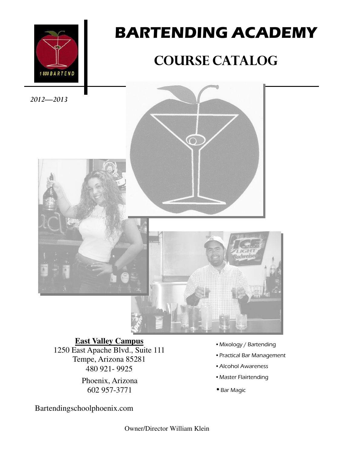

# BARTENDING ACADEMY

# COURSE CATALOG

2012—2013



## **East Valley Campus**

1250 East Apache Blvd., Suite 111 Tempe, Arizona 85281 480 921- 9925

> Phoenix, Arizona 602 957-3771

- •Mixology / Bartending
- •Practical Bar Management
- •Alcohol Awareness
- •Master Flairtending
- •Bar Magic

Bartendingschoolphoenix.com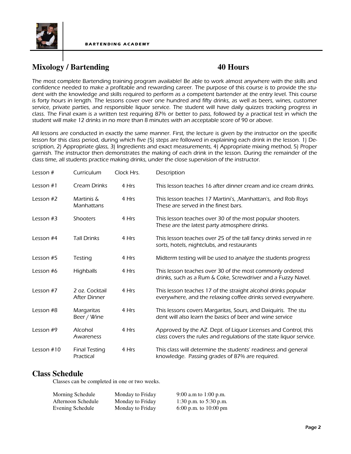

## **Mixology / Bartending 40 Hours**

The most complete Bartending training program available! Be able to work almost anywhere with the skills and confidence needed to make a profitable and rewarding career. The purpose of this course is to provide the student with the knowledge and skills required to perform as a competent bartender at the entry level. This course is forty hours in length. The lessons cover over one hundred and fifty drinks, as well as beers, wines, customer service, private parties, and responsible liquor service. The student will have daily quizzes tracking progress in class. The Final exam is a written test requiring 87% or better to pass, followed by a practical test in which the student will make 12 drinks in no more than 8 minutes with an acceptable score of 90 or above.

All lessons are conducted in exactly the same manner. First, the lecture is given by the instructor on the specific lesson for this class period, during which five (5) steps are followed in explaining each drink in the lesson. 1) Description, 2) Appropriate glass, 3) Ingredients and exact measurements, 4) Appropriate mixing method, 5) Proper garnish. The instructor then demonstrates the making of each drink in the lesson. During the remainder of the class time, all students practice making drinks, under the close supervision of the instructor.

| Lesson $#$   | Curriculum                        | Clock Hrs. | Description                                                                                                                           |
|--------------|-----------------------------------|------------|---------------------------------------------------------------------------------------------------------------------------------------|
| Lesson $#1$  | <b>Cream Drinks</b>               | 4 Hrs      | This lesson teaches 16 after dinner cream and ice cream drinks.                                                                       |
| Lesson #2    | Martinis &<br>Manhattans          | 4 Hrs      | This lesson teaches 17 Martini's, , Manhattan's, and Rob Roys<br>These are served in the finest bars.                                 |
| Lesson $#3$  | <b>Shooters</b>                   | 4 Hrs      | This lesson teaches over 30 of the most popular shooters.<br>These are the latest party atmosphere drinks.                            |
| Lesson #4    | <b>Tall Drinks</b>                | 4 Hrs      | This lesson teaches over 25 of the tall fancy drinks served in re<br>sorts, hotels, nightclubs, and restaurants                       |
| Lesson #5    | Testing                           | 4 Hrs      | Midterm testing will be used to analyze the students progress                                                                         |
| Lesson #6    | Highballs                         | 4 Hrs      | This lesson teaches over 30 of the most commonly ordered<br>drinks, such as a Rum & Coke, Screwdriver and a Fuzzy Navel.              |
| Lesson #7    | 2 oz. Cocktail<br>After Dinner    | 4 Hrs      | This lesson teaches 17 of the straight alcohol drinks popular<br>everywhere, and the relaxing coffee drinks served everywhere.        |
| Lesson #8    | Margaritas<br>Beer / Wine         | 4 Hrs      | This lessons covers Margaritas, Sours, and Daiquiris. The stu<br>dent will also learn the basics of beer and wine service             |
| Lesson #9    | Alcohol<br>Awareness              | 4 Hrs      | Approved by the AZ. Dept. of Liquor Licenses and Control, this<br>class covers the rules and regulations of the state liquor service. |
| Lesson $#10$ | <b>Final Testing</b><br>Practical | 4 Hrs      | This class will determine the students' readiness and general<br>knowledge. Passing grades of 87% are required.                       |

### **Class Schedule**

Classes can be completed in one or two weeks.

| Morning Schedule   | Monday to Friday | 9:00 a.m to 1:00 p.m.    |
|--------------------|------------------|--------------------------|
| Afternoon Schedule | Monday to Friday | 1:30 p.m. to $5:30$ p.m. |
| Evening Schedule   | Monday to Friday | 6:00 p.m. to $10:00$ pm  |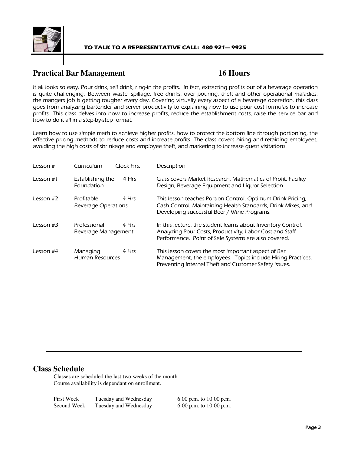

## **Practical Bar Management** 16 Hours

It all looks so easy. Pour drink, sell drink, ring-in the profits. In fact, extracting profits out of a beverage operation is quite challenging. Between waste, spillage, free drinks, over pouring, theft and other operational maladies, the mangers job is getting tougher every day. Covering virtually every aspect of a beverage operation, this class goes from analyzing bartender and server productivity to explaining how to use pour cost formulas to increase profits. This class delves into how to increase profits, reduce the establishment costs, raise the service bar and how to do it all in a step-by-step format.

Learn how to use simple math to achieve higher profits, how to protect the bottom line through portioning, the effective pricing methods to reduce costs and increase profits. The class covers hiring and retaining employees, avoiding the high costs of shrinkage and employee theft, and marketing to increase guest visitations.

| Lesson $#$  | Curriculum                          | Clock Hrs. | Description                                                                                                                                                                      |
|-------------|-------------------------------------|------------|----------------------------------------------------------------------------------------------------------------------------------------------------------------------------------|
| Lesson $#1$ | Establishing the<br>Foundation      | 4 Hrs      | Class covers Market Research, Mathematics of Profit, Facility<br>Design, Beverage Equipment and Liquor Selection.                                                                |
| Lesson #2   | Profitable<br>Beverage Operations   | 4 Hrs      | This lesson teaches Portion Control, Optimum Drink Pricing,<br>Cash Control, Maintaining Health Standards, Drink Mixes, and<br>Developing successful Beer / Wine Programs.       |
| Lesson $#3$ | Professional<br>Beverage Management | 4 Hrs      | In this lecture, the student learns about Inventory Control,<br>Analyzing Pour Costs, Productivity, Labor Cost and Staff<br>Performance. Point of Sale Systems are also covered. |
| Lesson $#4$ | Managing<br><b>Human Resources</b>  | 4 Hrs      | This lesson covers the most important aspect of Bar<br>Management, the employees. Topics include Hiring Practices,<br>Preventing Internal Theft and Customer Safety issues.      |

### **Class Schedule**

Classes are scheduled the last two weeks of the month. Course availability is dependant on enrollment.

| <b>First Week</b> | Tuesday and Wednesday | 6:00 p.m. to $10:00$ p.m. |
|-------------------|-----------------------|---------------------------|
| Second Week       | Tuesday and Wednesday | 6:00 p.m. to $10:00$ p.m. |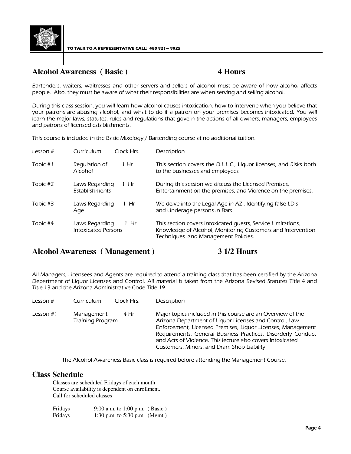

## **Alcohol Awareness ( Basic ) 4 Hours**

Bartenders, waiters, waitresses and other servers and sellers of alcohol must be aware of how alcohol affects people. Also, they must be aware of what their responsibilities are when serving and selling alcohol.

During this class session, you will learn how alcohol causes intoxication, how to intervene when you believe that your patrons are abusing alcohol, and what to do if a patron on your premises becomes intoxicated. You will learn the major laws, statutes, rules and regulations that govern the actions of all owners, managers, employees and patrons of licensed establishments.

This course is included in the Basic Mixology / Bartending course at no additional tuition.

| Lesson $#$ | Curriculum                                   | Clock Hrs. | Description                                                                                                                                                        |
|------------|----------------------------------------------|------------|--------------------------------------------------------------------------------------------------------------------------------------------------------------------|
| Topic #1   | Regulation of<br>Alcohol                     | 1 Hr       | This section covers the D.L.L.C., Liquor licenses, and Risks both<br>to the businesses and employees                                                               |
| Topic #2   | Laws Regarding<br>Establishments             | Hr         | During this session we discuss the Licensed Premises,<br>Entertainment on the premises, and Violence on the premises.                                              |
| Topic #3   | Laws Regarding<br>Age                        | Hr         | We delve into the Legal Age in AZ., Identifying false I.D.s<br>and Underage persons in Bars                                                                        |
| Topic #4   | Laws Regarding<br><b>Intoxicated Persons</b> | 1 Hr       | This section covers Intoxicated quests, Service Limitations,<br>Knowledge of Alcohol, Monitoring Customers and Intervention<br>Techniques and Management Policies. |

### **Alcohol Awareness ( Management ) 3 1/2 Hours**

All Managers, Licensees and Agents are required to attend a training class that has been certified by the Arizona Department of Liquor Licenses and Control. All material is taken from the Arizona Revised Statutes Title 4 and Title 13 and the Arizona Administrative Code Title 19.

| Lesson #  | Clock Hrs.<br>Curriculum               | Description                                                                                                                                                                                                                                                                                                                                                       |
|-----------|----------------------------------------|-------------------------------------------------------------------------------------------------------------------------------------------------------------------------------------------------------------------------------------------------------------------------------------------------------------------------------------------------------------------|
| Lesson #1 | 4 Hr<br>Management<br>Training Program | Major topics included in this course are an Overview of the<br>Arizona Department of Liquor Licenses and Control, Law<br>Enforcement, Licensed Premises, Liquor Licenses, Management<br>Requirements, General Business Practices, Disorderly Conduct<br>and Acts of Violence. This lecture also covers Intoxicated<br>Customers, Minors, and Dram Shop Liability. |
|           |                                        |                                                                                                                                                                                                                                                                                                                                                                   |

The Alcohol Awareness Basic class is required before attending the Management Course.

### **Class Schedule**

Classes are scheduled Fridays of each month Course availability is dependent on enrollment. Call for scheduled classes

| Fridays | 9:00 a.m. to 1:00 p.m. (Basic) |  |
|---------|--------------------------------|--|
| Fridays | 1:30 p.m. to 5:30 p.m. (Mgmt)  |  |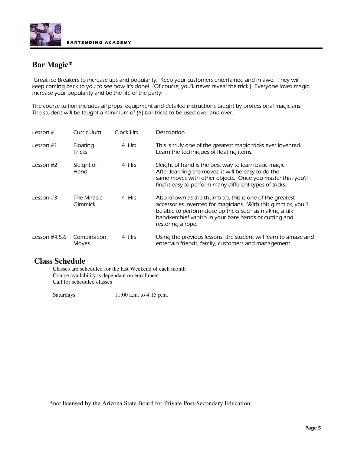

## **Bar Magic\***

Great Ice Breakers to increase tips and popularity. Keep your customers entertained and in awe. They will keep coming back to you to see how it's done! (Of course, you'll never reveal the trick.) Everyone loves magic. Increase your popularity and be the life of the party!

The course tuition includes all props, equipment and detailed instructions taught by professional magicians. The student will be taught a minimum of (6) bar tricks to be used over and over.

| Lesson $#$      | Curriculum                  | Clock Hrs. | Description                                                                                                                                                                                                                                                         |
|-----------------|-----------------------------|------------|---------------------------------------------------------------------------------------------------------------------------------------------------------------------------------------------------------------------------------------------------------------------|
| Lesson $#1$     | Floating<br><b>Tricks</b>   | 4 Hrs      | This is truly one of the greatest magic tricks ever invented.<br>Learn the techniques of floating items.                                                                                                                                                            |
| Lesson #2       | Sleight of<br>Hand          | 4 Hrs      | Sleight of hand is the best way to learn basic magic.<br>After learning the moves, it will be easy to do the<br>same moves with other objects. Once you master this, you'll<br>find it easy to perform many different types of tricks.                              |
| Lesson $#3$     | The Miracle<br>Gimmick      | 4 Hrs      | Also known as the thumb tip, this is one of the greatest<br>accessories invented for magicians. With this gimmick, you'll<br>be able to perform close up tricks such as making a silk<br>handkerchief vanish in your bare hands or cutting and<br>restoring a rope. |
| Lesson $#4.5.6$ | Combination<br><b>Moves</b> | 4 Hrs      | Using the previous lessons, the student will learn to amaze and<br>entertain friends, family, customers and management.                                                                                                                                             |

### **Class Schedule**

Classes are scheduled for the last Weekend of each month Course availability is dependant on enrollment. Call for scheduled classes

Saturdays 11:00 a.m. to 4:15 p.m.

\*not licensed by the Arizona State Board for Private Post-Secondary Education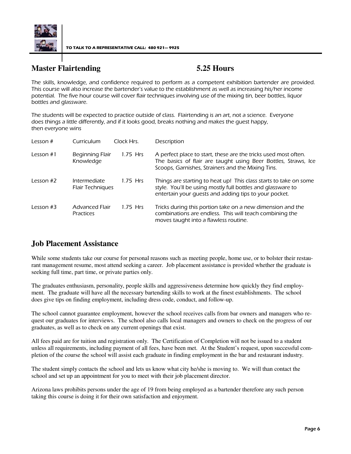

TO TALK TO A REPRESENTATIVE CALL: 480 921— 9925

## **Master Flairtending 5.25 Hours**

The skills, knowledge, and confidence required to perform as a competent exhibition bartender are provided. This course will also increase the bartender's value to the establishment as well as increasing his/her income potential. The five hour course will cover flair techniques involving use of the mixing tin, beer bottles, liquor bottles and glassware.

The students will be expected to practice outside of class. Flairtending is an art, not a science. Everyone does things a little differently, and if it looks good, breaks nothing and makes the guest happy, then everyone wins

| Lesson $#$  | Curriculum                              | Clock Hrs. | Description                                                                                                                                                                               |
|-------------|-----------------------------------------|------------|-------------------------------------------------------------------------------------------------------------------------------------------------------------------------------------------|
| Lesson $#1$ | Beginning Flair<br>Knowledge            | 1.75 Hrs   | A perfect place to start, these are the tricks used most often.<br>The basics of flair are taught using Beer Bottles, Straws, Ice<br>Scoops, Garnishes, Strainers and the Mixing Tins.    |
| Lesson $#2$ | Intermediate<br><b>Flair Techniques</b> | $1.75$ Hrs | Things are starting to heat up! This class starts to take on some<br>style. You'll be using mostly full bottles and glassware to<br>entertain your quests and adding tips to your pocket. |
| Lesson $#3$ | Advanced Flair<br><b>Practices</b>      | 1.75 Hrs   | Tricks during this portion take on a new dimension and the<br>combinations are endless. This will teach combining the<br>moves taught into a flawless routine.                            |

## **Job Placement Assistance**

While some students take our course for personal reasons such as meeting people, home use, or to bolster their restaurant management resume, most attend seeking a career. Job placement assistance is provided whether the graduate is seeking full time, part time, or private parties only.

The graduates enthusiasm, personality, people skills and aggressiveness determine how quickly they find employment. The graduate will have all the necessary bartending skills to work at the finest establishments. The school does give tips on finding employment, including dress code, conduct, and follow-up.

The school cannot guarantee employment, however the school receives calls from bar owners and managers who request our graduates for interviews. The school also calls local managers and owners to check on the progress of our graduates, as well as to check on any current openings that exist.

All fees paid are for tuition and registration only. The Certification of Completion will not be issued to a student unless all requirements, including payment of all fees, have been met. At the Student's request, upon successful completion of the course the school will assist each graduate in finding employment in the bar and restaurant industry.

The student simply contacts the school and lets us know what city he/she is moving to. We will than contact the school and set up an appointment for you to meet with their job placement director.

Arizona laws prohibits persons under the age of 19 from being employed as a bartender therefore any such person taking this course is doing it for their own satisfaction and enjoyment.